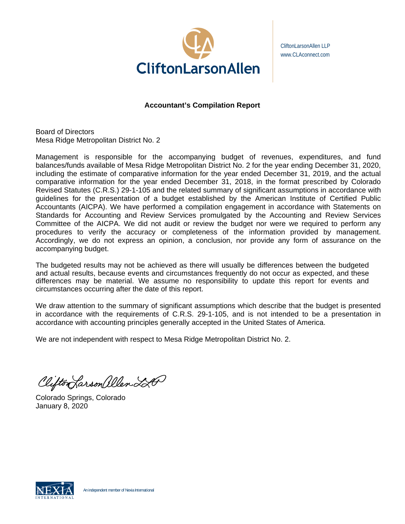

CliftonLarsonAllen LLP www.CLAconnect.com

# **Accountant's Compilation Report**

Board of Directors Mesa Ridge Metropolitan District No. 2

Management is responsible for the accompanying budget of revenues, expenditures, and fund balances/funds available of Mesa Ridge Metropolitan District No. 2 for the year ending December 31, 2020, including the estimate of comparative information for the year ended December 31, 2019, and the actual comparative information for the year ended December 31, 2018, in the format prescribed by Colorado Revised Statutes (C.R.S.) 29-1-105 and the related summary of significant assumptions in accordance with guidelines for the presentation of a budget established by the American Institute of Certified Public Accountants (AICPA). We have performed a compilation engagement in accordance with Statements on Standards for Accounting and Review Services promulgated by the Accounting and Review Services Committee of the AICPA. We did not audit or review the budget nor were we required to perform any procedures to verify the accuracy or completeness of the information provided by management. Accordingly, we do not express an opinion, a conclusion, nor provide any form of assurance on the accompanying budget.

The budgeted results may not be achieved as there will usually be differences between the budgeted and actual results, because events and circumstances frequently do not occur as expected, and these differences may be material. We assume no responsibility to update this report for events and circumstances occurring after the date of this report.

We draw attention to the summary of significant assumptions which describe that the budget is presented in accordance with the requirements of C.R.S. 29-1-105, and is not intended to be a presentation in accordance with accounting principles generally accepted in the United States of America.

We are not independent with respect to Mesa Ridge Metropolitan District No. 2.

Clifton Larson allen LA

Colorado Springs, Colorado January 8, 2020

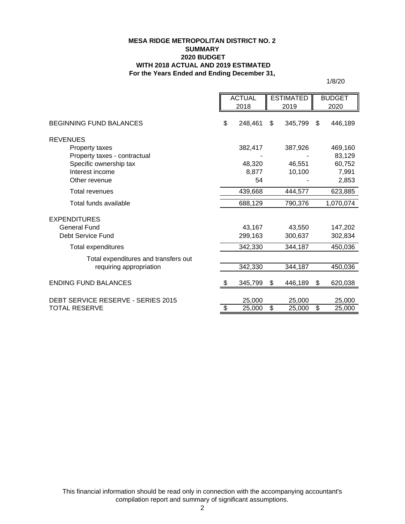#### **MESA RIDGE METROPOLITAN DISTRICT NO. 2 SUMMARY 2020 BUDGET WITH 2018 ACTUAL AND 2019 ESTIMATED For the Years Ended and Ending December 31,**

1/8/20

|                                      |    | <b>ACTUAL</b> |    | <b>ESTIMATED</b> |    | <b>BUDGET</b> |  |
|--------------------------------------|----|---------------|----|------------------|----|---------------|--|
|                                      |    | 2018          |    | 2019             |    | 2020          |  |
| <b>BEGINNING FUND BALANCES</b>       |    | 248,461       | \$ | 345,799          | \$ | 446,189       |  |
| <b>REVENUES</b>                      |    |               |    |                  |    |               |  |
| Property taxes                       |    | 382,417       |    | 387,926          |    | 469,160       |  |
| Property taxes - contractual         |    |               |    |                  |    | 83,129        |  |
| Specific ownership tax               |    | 48,320        |    | 46,551           |    | 60,752        |  |
| Interest income                      |    | 8,877         |    | 10,100           |    | 7,991         |  |
| Other revenue                        |    | 54            |    |                  |    | 2,853         |  |
| Total revenues                       |    | 439,668       |    | 444,577          |    | 623,885       |  |
| Total funds available                |    | 688,129       |    | 790,376          |    | 1,070,074     |  |
| <b>EXPENDITURES</b>                  |    |               |    |                  |    |               |  |
| <b>General Fund</b>                  |    | 43,167        |    | 43,550           |    | 147,202       |  |
| Debt Service Fund                    |    | 299,163       |    | 300,637          |    | 302,834       |  |
| Total expenditures                   |    | 342,330       |    | 344,187          |    | 450,036       |  |
| Total expenditures and transfers out |    |               |    |                  |    |               |  |
| requiring appropriation              |    | 342,330       |    | 344,187          |    | 450,036       |  |
| <b>ENDING FUND BALANCES</b>          | \$ | 345,799       | \$ | 446,189          | \$ | 620,038       |  |
| DEBT SERVICE RESERVE - SERIES 2015   |    | 25,000        |    | 25,000           |    | 25,000        |  |
| TOTAL RESERVE                        | \$ | 25,000        | \$ | 25,000           | \$ | 25,000        |  |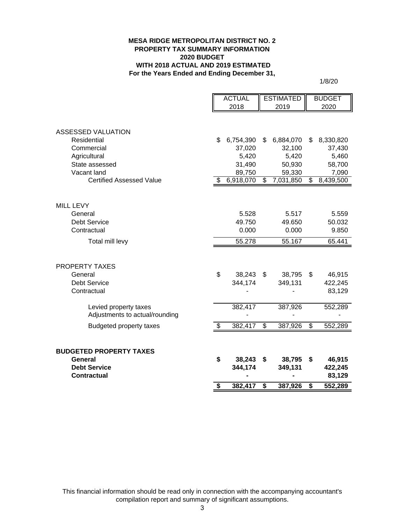#### **MESA RIDGE METROPOLITAN DISTRICT NO. 2 PROPERTY TAX SUMMARY INFORMATION 2020 BUDGET WITH 2018 ACTUAL AND 2019 ESTIMATED For the Years Ended and Ending December 31,**

1/8/20

|                                 |    | <b>ACTUAL</b> | <b>ESTIMATED</b>         |           | <b>BUDGET</b>            |           |
|---------------------------------|----|---------------|--------------------------|-----------|--------------------------|-----------|
|                                 |    | 2018          |                          | 2019      |                          | 2020      |
|                                 |    |               |                          |           |                          |           |
|                                 |    |               |                          |           |                          |           |
| <b>ASSESSED VALUATION</b>       |    |               |                          |           |                          |           |
| Residential                     | \$ | 6,754,390     | \$                       | 6,884,070 | \$                       | 8,330,820 |
| Commercial                      |    | 37,020        |                          | 32,100    |                          | 37,430    |
| Agricultural                    |    | 5,420         |                          | 5,420     |                          | 5,460     |
| State assessed                  |    | 31,490        |                          | 50,930    |                          | 58,700    |
| Vacant land                     |    | 89,750        |                          | 59,330    |                          | 7,090     |
| <b>Certified Assessed Value</b> | S  | 6,918,070     | $\overline{\mathcal{S}}$ | 7,031,850 | $\overline{\mathcal{G}}$ | 8,439,500 |
|                                 |    |               |                          |           |                          |           |
|                                 |    |               |                          |           |                          |           |
| <b>MILL LEVY</b>                |    |               |                          |           |                          |           |
| General                         |    | 5.528         |                          | 5.517     |                          | 5.559     |
| <b>Debt Service</b>             |    | 49.750        |                          | 49.650    |                          | 50.032    |
| Contractual                     |    | 0.000         |                          | 0.000     |                          | 9.850     |
| Total mill levy                 |    | 55.278        |                          | 55.167    |                          | 65.441    |
|                                 |    |               |                          |           |                          |           |
|                                 |    |               |                          |           |                          |           |
| <b>PROPERTY TAXES</b>           |    |               |                          |           |                          |           |
| General                         | \$ | 38,243        | \$                       | 38,795    | \$                       | 46,915    |
| <b>Debt Service</b>             |    | 344,174       |                          | 349,131   |                          | 422,245   |
| Contractual                     |    |               |                          |           |                          | 83,129    |
|                                 |    |               |                          |           |                          |           |
| Levied property taxes           |    | 382,417       |                          | 387,926   |                          | 552,289   |
| Adjustments to actual/rounding  |    |               |                          |           |                          |           |
| <b>Budgeted property taxes</b>  | \$ | 382,417       | \$                       | 387,926   | \$                       | 552,289   |
|                                 |    |               |                          |           |                          |           |
|                                 |    |               |                          |           |                          |           |
| <b>BUDGETED PROPERTY TAXES</b>  |    |               |                          |           |                          |           |
| General                         | \$ | 38,243        | \$                       | 38,795    | \$                       | 46,915    |
| <b>Debt Service</b>             |    | 344,174       |                          | 349,131   |                          | 422,245   |
| <b>Contractual</b>              |    |               |                          |           |                          | 83,129    |
|                                 | \$ | 382,417       | \$                       | 387,926   | \$                       | 552,289   |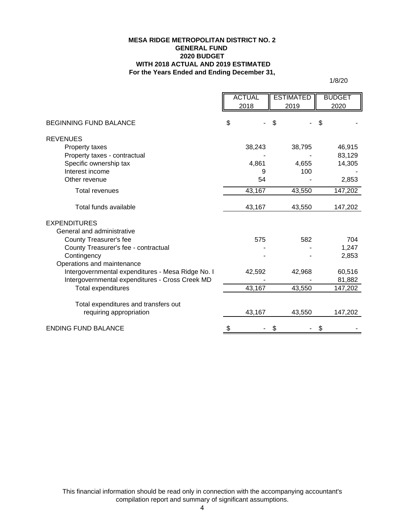### **For the Years Ended and Ending December 31, MESA RIDGE METROPOLITAN DISTRICT NO. 2 GENERAL FUND 2020 BUDGET WITH 2018 ACTUAL AND 2019 ESTIMATED**

1/8/20

|                                                   | <b>ACTUAL</b> | <b>ESTIMATED</b> | <b>BUDGET</b> |
|---------------------------------------------------|---------------|------------------|---------------|
|                                                   | 2018          | 2019             | 2020          |
|                                                   |               |                  |               |
| <b>BEGINNING FUND BALANCE</b>                     | \$            | \$               | S             |
| <b>REVENUES</b>                                   |               |                  |               |
| Property taxes                                    | 38,243        | 38,795           | 46,915        |
| Property taxes - contractual                      |               |                  | 83,129        |
| Specific ownership tax                            | 4,861         | 4,655            | 14,305        |
| Interest income                                   | 9             | 100              |               |
| Other revenue                                     | 54            |                  | 2,853         |
| <b>Total revenues</b>                             | 43,167        | 43,550           | 147,202       |
| Total funds available                             | 43,167        | 43,550           | 147,202       |
| <b>EXPENDITURES</b>                               |               |                  |               |
| General and administrative                        |               |                  |               |
| County Treasurer's fee                            | 575           | 582              | 704           |
| County Treasurer's fee - contractual              |               |                  | 1,247         |
| Contingency                                       |               |                  | 2,853         |
| Operations and maintenance                        |               |                  |               |
| Intergovernmental expenditures - Mesa Ridge No. I | 42,592        | 42,968           | 60,516        |
| Intergovernmental expenditures - Cross Creek MD   |               |                  | 81,882        |
| <b>Total expenditures</b>                         | 43,167        | 43,550           | 147,202       |
|                                                   |               |                  |               |
| Total expenditures and transfers out              |               |                  |               |
| requiring appropriation                           | 43,167        | 43,550           | 147,202       |
| <b>ENDING FUND BALANCE</b>                        |               |                  |               |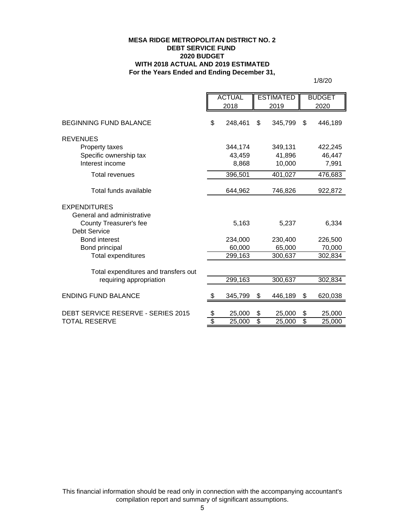### **MESA RIDGE METROPOLITAN DISTRICT NO. 2 DEBT SERVICE FUND 2020 BUDGET WITH 2018 ACTUAL AND 2019 ESTIMATED For the Years Ended and Ending December 31,**

1/8/20

|                                      | <b>ACTUAL</b><br>2018 |                 | <b>ESTIMATED</b><br>2019 |                 | <b>BUDGET</b><br>2020 |  |
|--------------------------------------|-----------------------|-----------------|--------------------------|-----------------|-----------------------|--|
|                                      |                       |                 |                          |                 |                       |  |
| <b>BEGINNING FUND BALANCE</b>        | \$<br>248,461         | \$              | 345,799                  | \$              | 446,189               |  |
| <b>REVENUES</b>                      |                       |                 |                          |                 |                       |  |
| Property taxes                       | 344,174               |                 | 349,131                  |                 | 422,245               |  |
| Specific ownership tax               | 43,459                |                 | 41,896                   |                 | 46,447                |  |
| Interest income                      | 8,868                 |                 | 10,000                   |                 | 7,991                 |  |
| <b>Total revenues</b>                | 396,501               |                 | 401,027                  |                 | 476,683               |  |
|                                      |                       |                 |                          |                 |                       |  |
| Total funds available                | 644,962               |                 | 746,826                  |                 | 922,872               |  |
| <b>EXPENDITURES</b>                  |                       |                 |                          |                 |                       |  |
| General and administrative           |                       |                 |                          |                 |                       |  |
| County Treasurer's fee               | 5,163                 |                 | 5,237                    |                 | 6,334                 |  |
| <b>Debt Service</b>                  |                       |                 |                          |                 |                       |  |
| <b>Bond interest</b>                 | 234,000               |                 | 230,400                  |                 | 226,500               |  |
| Bond principal                       | 60,000                |                 | 65,000                   |                 | 70,000                |  |
| <b>Total expenditures</b>            | 299,163               |                 | 300,637                  |                 | 302,834               |  |
|                                      |                       |                 |                          |                 |                       |  |
| Total expenditures and transfers out |                       |                 |                          |                 |                       |  |
| requiring appropriation              | 299,163               |                 | 300,637                  |                 | 302,834               |  |
| <b>ENDING FUND BALANCE</b>           | \$<br>345,799         | \$              | 446,189                  | \$              | 620,038               |  |
|                                      |                       |                 |                          |                 |                       |  |
| DEBT SERVICE RESERVE - SERIES 2015   | \$<br>25,000          | \$              | 25,000                   | \$              | 25,000                |  |
| <b>TOTAL RESERVE</b>                 | \$<br>25,000          | $\overline{\$}$ | 25,000                   | $\overline{\$}$ | 25,000                |  |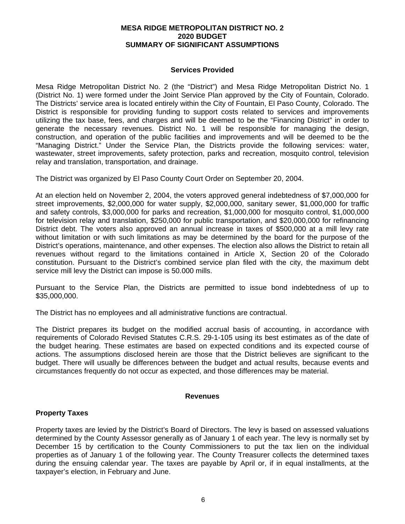### **MESA RIDGE METROPOLITAN DISTRICT NO. 2 2020 BUDGET SUMMARY OF SIGNIFICANT ASSUMPTIONS**

### **Services Provided**

Mesa Ridge Metropolitan District No. 2 (the "District") and Mesa Ridge Metropolitan District No. 1 (District No. 1) were formed under the Joint Service Plan approved by the City of Fountain, Colorado. The Districts' service area is located entirely within the City of Fountain, El Paso County, Colorado. The District is responsible for providing funding to support costs related to services and improvements utilizing the tax base, fees, and charges and will be deemed to be the "Financing District" in order to generate the necessary revenues. District No. 1 will be responsible for managing the design, construction, and operation of the public facilities and improvements and will be deemed to be the "Managing District." Under the Service Plan, the Districts provide the following services: water, wastewater, street improvements, safety protection, parks and recreation, mosquito control, television relay and translation, transportation, and drainage.

The District was organized by El Paso County Court Order on September 20, 2004.

At an election held on November 2, 2004, the voters approved general indebtedness of \$7,000,000 for street improvements, \$2,000,000 for water supply, \$2,000,000, sanitary sewer, \$1,000,000 for traffic and safety controls, \$3,000,000 for parks and recreation, \$1,000,000 for mosquito control, \$1,000,000 for television relay and translation, \$250,000 for public transportation, and \$20,000,000 for refinancing District debt. The voters also approved an annual increase in taxes of \$500,000 at a mill levy rate without limitation or with such limitations as may be determined by the board for the purpose of the District's operations, maintenance, and other expenses. The election also allows the District to retain all revenues without regard to the limitations contained in Article X, Section 20 of the Colorado constitution. Pursuant to the District's combined service plan filed with the city, the maximum debt service mill levy the District can impose is 50.000 mills.

Pursuant to the Service Plan, the Districts are permitted to issue bond indebtedness of up to \$35,000,000.

The District has no employees and all administrative functions are contractual.

The District prepares its budget on the modified accrual basis of accounting, in accordance with requirements of Colorado Revised Statutes C.R.S. 29-1-105 using its best estimates as of the date of the budget hearing. These estimates are based on expected conditions and its expected course of actions. The assumptions disclosed herein are those that the District believes are significant to the budget. There will usually be differences between the budget and actual results, because events and circumstances frequently do not occur as expected, and those differences may be material.

#### **Revenues**

### **Property Taxes**

Property taxes are levied by the District's Board of Directors. The levy is based on assessed valuations determined by the County Assessor generally as of January 1 of each year. The levy is normally set by December 15 by certification to the County Commissioners to put the tax lien on the individual properties as of January 1 of the following year. The County Treasurer collects the determined taxes during the ensuing calendar year. The taxes are payable by April or, if in equal installments, at the taxpayer's election, in February and June.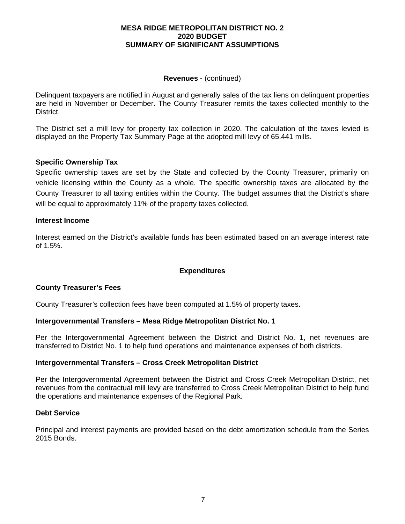### **MESA RIDGE METROPOLITAN DISTRICT NO. 2 2020 BUDGET SUMMARY OF SIGNIFICANT ASSUMPTIONS**

### **Revenues -** (continued)

Delinquent taxpayers are notified in August and generally sales of the tax liens on delinquent properties are held in November or December. The County Treasurer remits the taxes collected monthly to the District.

The District set a mill levy for property tax collection in 2020. The calculation of the taxes levied is displayed on the Property Tax Summary Page at the adopted mill levy of 65.441 mills.

## **Specific Ownership Tax**

Specific ownership taxes are set by the State and collected by the County Treasurer, primarily on vehicle licensing within the County as a whole. The specific ownership taxes are allocated by the County Treasurer to all taxing entities within the County. The budget assumes that the District's share will be equal to approximately 11% of the property taxes collected.

### **Interest Income**

Interest earned on the District's available funds has been estimated based on an average interest rate of 1.5%.

## **Expenditures**

## **County Treasurer's Fees**

County Treasurer's collection fees have been computed at 1.5% of property taxes**.** 

### **Intergovernmental Transfers – Mesa Ridge Metropolitan District No. 1**

Per the Intergovernmental Agreement between the District and District No. 1, net revenues are transferred to District No. 1 to help fund operations and maintenance expenses of both districts.

### **Intergovernmental Transfers – Cross Creek Metropolitan District**

Per the Intergovernmental Agreement between the District and Cross Creek Metropolitan District, net revenues from the contractual mill levy are transferred to Cross Creek Metropolitan District to help fund the operations and maintenance expenses of the Regional Park.

### **Debt Service**

Principal and interest payments are provided based on the debt amortization schedule from the Series 2015 Bonds.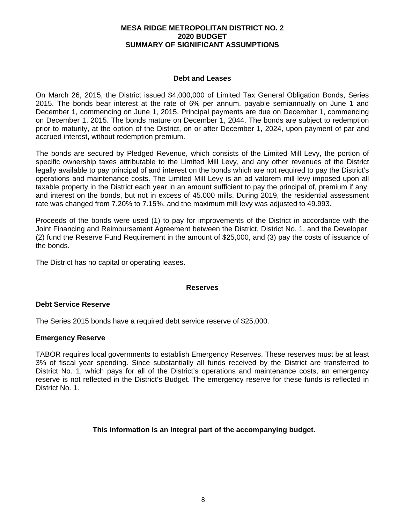### **MESA RIDGE METROPOLITAN DISTRICT NO. 2 2020 BUDGET SUMMARY OF SIGNIFICANT ASSUMPTIONS**

### **Debt and Leases**

On March 26, 2015, the District issued \$4,000,000 of Limited Tax General Obligation Bonds, Series 2015. The bonds bear interest at the rate of 6% per annum, payable semiannually on June 1 and December 1, commencing on June 1, 2015. Principal payments are due on December 1, commencing on December 1, 2015. The bonds mature on December 1, 2044. The bonds are subject to redemption prior to maturity, at the option of the District, on or after December 1, 2024, upon payment of par and accrued interest, without redemption premium.

The bonds are secured by Pledged Revenue, which consists of the Limited Mill Levy, the portion of specific ownership taxes attributable to the Limited Mill Levy, and any other revenues of the District legally available to pay principal of and interest on the bonds which are not required to pay the District's operations and maintenance costs. The Limited Mill Levy is an ad valorem mill levy imposed upon all taxable property in the District each year in an amount sufficient to pay the principal of, premium if any, and interest on the bonds, but not in excess of 45.000 mills. During 2019, the residential assessment rate was changed from 7.20% to 7.15%, and the maximum mill levy was adjusted to 49.993.

Proceeds of the bonds were used (1) to pay for improvements of the District in accordance with the Joint Financing and Reimbursement Agreement between the District, District No. 1, and the Developer, (2) fund the Reserve Fund Requirement in the amount of \$25,000, and (3) pay the costs of issuance of the bonds.

The District has no capital or operating leases.

### **Reserves**

## **Debt Service Reserve**

The Series 2015 bonds have a required debt service reserve of \$25,000.

## **Emergency Reserve**

TABOR requires local governments to establish Emergency Reserves. These reserves must be at least 3% of fiscal year spending. Since substantially all funds received by the District are transferred to District No. 1, which pays for all of the District's operations and maintenance costs, an emergency reserve is not reflected in the District's Budget. The emergency reserve for these funds is reflected in District No. 1.

## **This information is an integral part of the accompanying budget.**